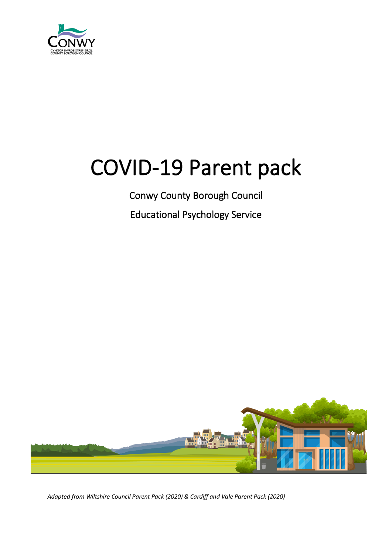

# COVID-19 Parent pack

Conwy County Borough Council

Educational Psychology Service



*Adapted from Wiltshire Council Parent Pack (2020) & Cardiff and Vale Parent Pack (2020)*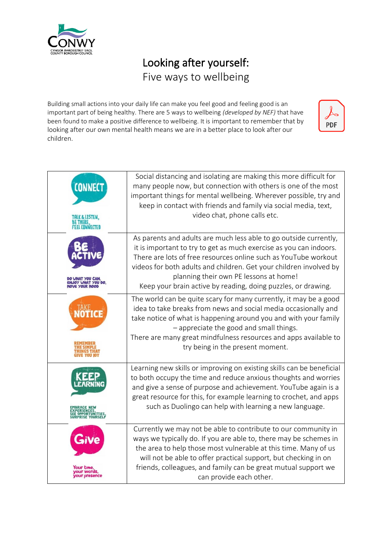

# Looking after yourself: Five ways to wellbeing

Building small actions into your daily life can make you feel good and feeling good is an important part of being healthy. There are 5 ways to wellbeing *(developed by NEF)* that have been found to make a positive difference to wellbeing. It is important to remember that by looking after our own mental health means we are in a better place to look after our children.



| <b>CONNEC</b><br>ILK & LISTEN.            | Social distancing and isolating are making this more difficult for<br>many people now, but connection with others is one of the most<br>important things for mental wellbeing. Wherever possible, try and<br>keep in contact with friends and family via social media, text,<br>video chat, phone calls etc.                                                                                |
|-------------------------------------------|---------------------------------------------------------------------------------------------------------------------------------------------------------------------------------------------------------------------------------------------------------------------------------------------------------------------------------------------------------------------------------------------|
| OY WHAT YOU DO.<br><b>IE YOUR MOOD</b>    | As parents and adults are much less able to go outside currently,<br>it is important to try to get as much exercise as you can indoors.<br>There are lots of free resources online such as YouTube workout<br>videos for both adults and children. Get your children involved by<br>planning their own PE lessons at home!<br>Keep your brain active by reading, doing puzzles, or drawing. |
|                                           | The world can be quite scary for many currently, it may be a good<br>idea to take breaks from news and social media occasionally and<br>take notice of what is happening around you and with your family<br>- appreciate the good and small things.<br>There are many great mindfulness resources and apps available to<br>try being in the present moment.                                 |
| <b>PORTUNITIES</b><br><b>LISE YOURSEL</b> | Learning new skills or improving on existing skills can be beneficial<br>to both occupy the time and reduce anxious thoughts and worries<br>and give a sense of purpose and achievement. YouTube again is a<br>great resource for this, for example learning to crochet, and apps<br>such as Duolingo can help with learning a new language.                                                |
|                                           | Currently we may not be able to contribute to our community in<br>ways we typically do. If you are able to, there may be schemes in<br>the area to help those most vulnerable at this time. Many of us<br>will not be able to offer practical support, but checking in on<br>friends, colleagues, and family can be great mutual support we<br>can provide each other.                      |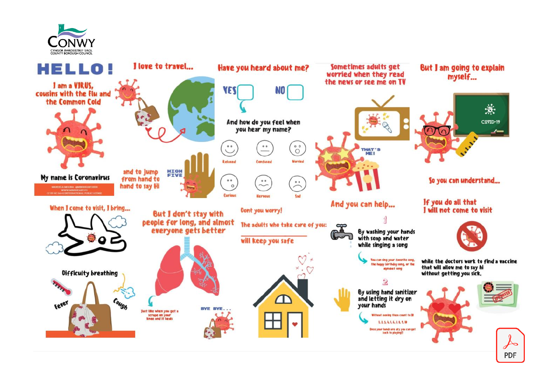



**PDF**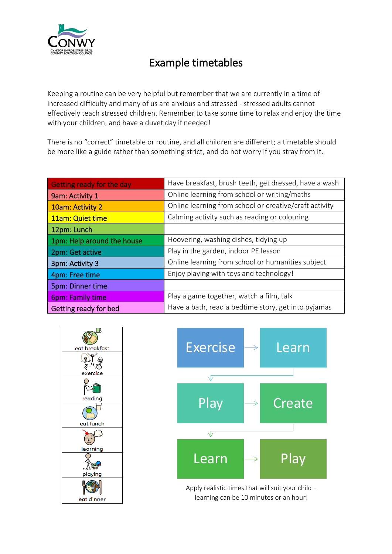

# Example timetables

Keeping a routine can be very helpful but remember that we are currently in a time of increased difficulty and many of us are anxious and stressed - stressed adults cannot effectively teach stressed children. Remember to take some time to relax and enjoy the time with your children, and have a duvet day if needed!

There is no "correct" timetable or routine, and all children are different; a timetable should be more like a guide rather than something strict, and do not worry if you stray from it.

| Getting ready for the day  | Have breakfast, brush teeth, get dressed, have a wash  |
|----------------------------|--------------------------------------------------------|
| 9am: Activity 1            | Online learning from school or writing/maths           |
| 10am: Activity 2           | Online learning from school or creative/craft activity |
| 11am: Quiet time           | Calming activity such as reading or colouring          |
| 12pm: Lunch                |                                                        |
| 1pm: Help around the house | Hoovering, washing dishes, tidying up                  |
| 2pm: Get active            | Play in the garden, indoor PE lesson                   |
| 3pm: Activity 3            | Online learning from school or humanities subject      |
| 4pm: Free time             | Enjoy playing with toys and technology!                |
| 5pm: Dinner time           |                                                        |
| <b>6pm: Family time</b>    | Play a game together, watch a film, talk               |
| Getting ready for bed      | Have a bath, read a bedtime story, get into pyjamas    |





Apply realistic times that will suit your child – learning can be 10 minutes or an hour!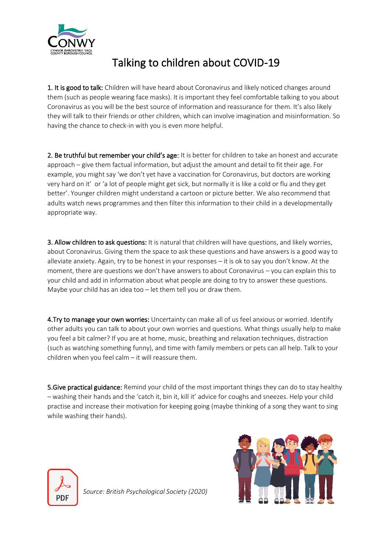

# Talking to children about COVID-19

1. It is good to talk: Children will have heard about Coronavirus and likely noticed changes around them (such as people wearing face masks). It is important they feel comfortable talking to you about Coronavirus as you will be the best source of information and reassurance for them. It's also likely they will talk to their friends or other children, which can involve imagination and misinformation. So having the chance to check-in with you is even more helpful.

2. Be truthful but remember your child's age: It is better for children to take an honest and accurate approach – give them factual information, but adjust the amount and detail to fit their age. For example, you might say 'we don't yet have a vaccination for Coronavirus, but doctors are working very hard on it' or 'a lot of people might get sick, but normally it is like a cold or flu and they get better'. Younger children might understand a cartoon or picture better. We also recommend that adults watch news programmes and then filter this information to their child in a developmentally appropriate way.

3. Allow children to ask questions: It is natural that children will have questions, and likely worries, about Coronavirus. Giving them the space to ask these questions and have answers is a good way to alleviate anxiety. Again, try to be honest in your responses – it is ok to say you don't know. At the moment, there are questions we don't have answers to about Coronavirus – you can explain this to your child and add in information about what people are doing to try to answer these questions. Maybe your child has an idea too – let them tell you or draw them.

4. Try to manage your own worries: Uncertainty can make all of us feel anxious or worried. Identify other adults you can talk to about your own worries and questions. What things usually help to make you feel a bit calmer? If you are at home, music, breathing and relaxation techniques, distraction (such as watching something funny), and time with family members or pets can all help. Talk to your children when you feel calm – it will reassure them.

**5.Give practical guidance:** Remind your child of the most important things they can do to stay healthy – washing their hands and the 'catch it, bin it, kill it' advice for coughs and sneezes. Help your child practise and increase their motivation for keeping going (maybe thinking of a song they want to sing while washing their hands).



*Source: British Psychological Society (2020)* 

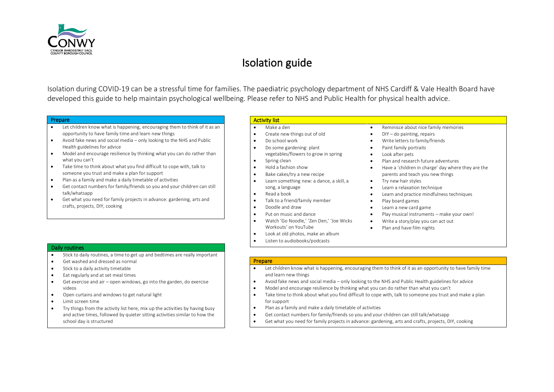

# Isolation guide

Isolation during COVID-19 can be a stressful time for families. The paediatric psychology department of NHS Cardiff & Vale Health Board have developed this guide to help maintain psychological wellbeing. Please refer to NHS and Public Health for physical health advice.

#### Prepare

- Let children know what is happening, encouraging them to think of it as an opportunity to have family time and learn new things
- Avoid fake news and social media only looking to the NHS and Public Health guidelines for advice
- Model and encourage resilience by thinking what you can do rather than what you can't
- Take time to think about what you find difficult to cope with, talk to someone you trust and make a plan for support
- Plan as a family and make a daily timetable of activities
- Get contact numbers for family/friends so you and your children can still talk/whatsapp
- Get what you need for family projects in advance: gardening, arts and crafts, projects, DIY, cooking

#### Activity list

- Make a den • Create new things out of old
- Do school work
- Do some gardening: plant vegetables/flowers to grow in spring
- Spring clean
- Hold a fashion show
- Bake cakes/try a new recipe
- Learn something new: a dance, a skill, a song, a language
- Read a book
- Talk to a friend/family member
- Doodle and draw
- Put on music and dance
- Watch 'Go Noodle,' 'Zen Den,' 'Joe Wicks Workouts' on YouTube
- Look at old photos, make an album
- Listen to audiobooks/podcasts
- Reminisce about nice family memories
	- DIY do painting, repairs
	- Write letters to family/friends
- Paint family portraits
- Look after pets
- Plan and research future adventures
- Have a 'children in charge' day where they are the parents and teach you new things
- Try new hair styles
- Learn a relaxation technique
- Learn and practice mindfulness techniques
- Play board games
- Learn a new card game
- Play musical instruments make your own!
- Write a story/play you can act out
- Plan and have film nights

- Daily routines
- Stick to daily routines, a time to get up and bedtimes are really important
- Get washed and dressed as normal
- Stick to a daily activity timetable
- Eat regularly and at set meal times
- Get exercise and air open windows, go into the garden, do exercise videos
- Open curtains and windows to get natural light
- Limit screen time
- Try things from the activity list here, mix up the activities by having busy and active times, followed by quieter sitting activities similar to how the school day is structured

#### Prepare

- Let children know what is happening, encouraging them to think of it as an opportunity to have family time and learn new things
- Avoid fake news and social media only looking to the NHS and Public Health guidelines for advice
- Model and encourage resilience by thinking what you can do rather than what you can't
- Take time to think about what you find difficult to cope with, talk to someone you trust and make a plan for support
- Plan as a family and make a daily timetable of activities
- Get contact numbers for family/friends so you and your children can still talk/whatsapp
- Get what you need for family projects in advance: gardening, arts and crafts, projects, DIY, cooking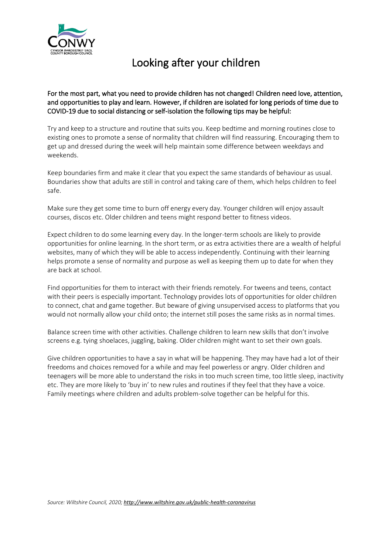

# Looking after your children

For the most part, what you need to provide children has not changed! Children need love, attention, and opportunities to play and learn. However, if children are isolated for long periods of time due to COVID-19 due to social distancing or self-isolation the following tips may be helpful:

Try and keep to a structure and routine that suits you. Keep bedtime and morning routines close to existing ones to promote a sense of normality that children will find reassuring. Encouraging them to get up and dressed during the week will help maintain some difference between weekdays and weekends.

Keep boundaries firm and make it clear that you expect the same standards of behaviour as usual. Boundaries show that adults are still in control and taking care of them, which helps children to feel safe.

Make sure they get some time to burn off energy every day. Younger children will enjoy assault courses, discos etc. Older children and teens might respond better to fitness videos.

Expect children to do some learning every day. In the longer-term schools are likely to provide opportunities for online learning. In the short term, or as extra activities there are a wealth of helpful websites, many of which they will be able to access independently. Continuing with their learning helps promote a sense of normality and purpose as well as keeping them up to date for when they are back at school.

Find opportunities for them to interact with their friends remotely. For tweens and teens, contact with their peers is especially important. Technology provides lots of opportunities for older children to connect, chat and game together. But beware of giving unsupervised access to platforms that you would not normally allow your child onto; the internet still poses the same risks as in normal times.

Balance screen time with other activities. Challenge children to learn new skills that don't involve screens e.g. tying shoelaces, juggling, baking. Older children might want to set their own goals.

Give children opportunities to have a say in what will be happening. They may have had a lot of their freedoms and choices removed for a while and may feel powerless or angry. Older children and teenagers will be more able to understand the risks in too much screen time, too little sleep, inactivity etc. They are more likely to 'buy in' to new rules and routines if they feel that they have a voice. Family meetings where children and adults problem-solve together can be helpful for this.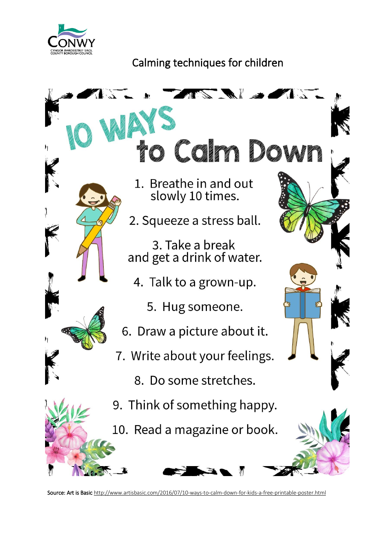

# Calming techniques for children



Source: Art is Basic http://www.artisbasic.com/2016/07/10-ways-to-calm-down-for-kids-a-free-printable-poster.html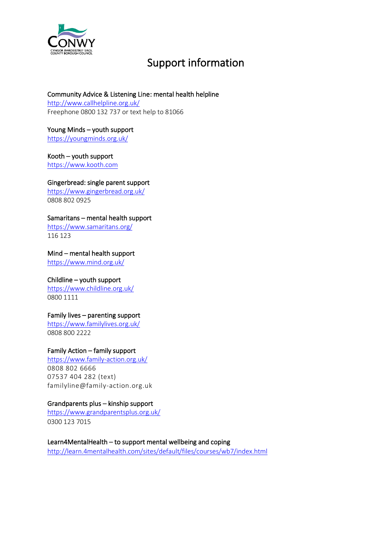

# Support information

#### Community Advice & Listening Line: mental health helpline

<http://www.callhelpline.org.uk/> Freephon[e 0800 132 737](tel:0800132737) or text help to [81066](sms:81066)

Young Minds – youth support <https://youngminds.org.uk/>

Kooth – youth support [https://www.kooth.com](https://www.kooth.com/)

Gingerbread: single parent support <https://www.gingerbread.org.uk/> 0808 802 0925

#### Samaritans – mental health support

<https://www.samaritans.org/> 116 123

#### Mind – mental health support

<https://www.mind.org.uk/>

#### Childline – youth support

<https://www.childline.org.uk/> 0800 1111

#### Family lives – parenting support

<https://www.familylives.org.uk/> 0808 800 2222

#### Family Action – family support

<https://www.family-action.org.uk/> 0808 802 6666 07537 404 282 (text) familyline@family-action.org.uk

#### Grandparents plus – kinship support

<https://www.grandparentsplus.org.uk/> 0300 123 7015

#### Learn4MentalHealth – to support mental wellbeing and coping

[http://learn.4mentalhealth.com/sites/default/files/courses/wb7/index.html](https://eur04.safelinks.protection.outlook.com/?url=http%3A%2F%2Flearn.4mentalhealth.com%2Fsites%2Fdefault%2Ffiles%2Fcourses%2Fwb7%2Findex.html&data=02%7C01%7C%7Cd9201dc5befd474d9e4108d7d6edf21f%7C84df9e7fe9f640afb435aaaaaaaaaaaa%7C1%7C0%7C637214189758839659&sdata=cE3by8CrqiApASPem2uN%2Bk4SUlY%2FvkJ8%2FL5DFkGkoNM%3D&reserved=0)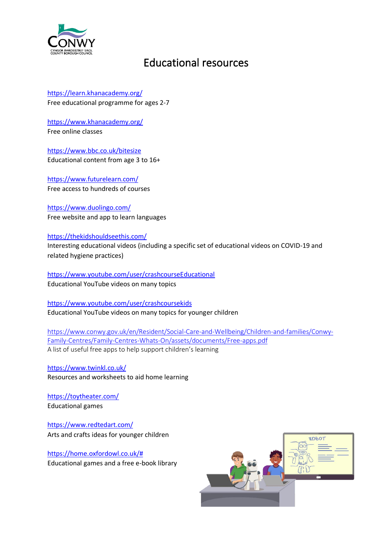

### Educational resources

<https://learn.khanacademy.org/> Free educational programme for ages 2-7

<https://www.khanacademy.org/> Free online classes

<https://www.bbc.co.uk/bitesize> Educational content from age 3 to 16+

<https://www.futurelearn.com/> Free access to hundreds of courses

<https://www.duolingo.com/> Free website and app to learn languages

<https://thekidshouldseethis.com/>

Interesting educational videos (including a specific set of educational videos on COVID-19 and related hygiene practices)

<https://www.youtube.com/user/crashcourseEducational> Educational YouTube videos on many topics

<https://www.youtube.com/user/crashcoursekids> Educational YouTube videos on many topics for younger children

[https://www.conwy.gov.uk/en/Resident/Social-Care-and-Wellbeing/Children-and-families/Conwy-](https://www.conwy.gov.uk/en/Resident/Social-Care-and-Wellbeing/Children-and-families/Conwy-Family-Centres/Family-Centres-Whats-On/assets/documents/Free-apps.pdf)[Family-Centres/Family-Centres-Whats-On/assets/documents/Free-apps.pdf](https://www.conwy.gov.uk/en/Resident/Social-Care-and-Wellbeing/Children-and-families/Conwy-Family-Centres/Family-Centres-Whats-On/assets/documents/Free-apps.pdf) A list of useful free apps to help support children's learning

<https://www.twinkl.co.uk/> Resources and worksheets to aid home learning

<https://toytheater.com/> Educational games

<https://www.redtedart.com/> Arts and crafts ideas for younger children

[https://home.oxfordowl.co.uk/#](https://home.oxfordowl.co.uk/) Educational games and a free e-book library